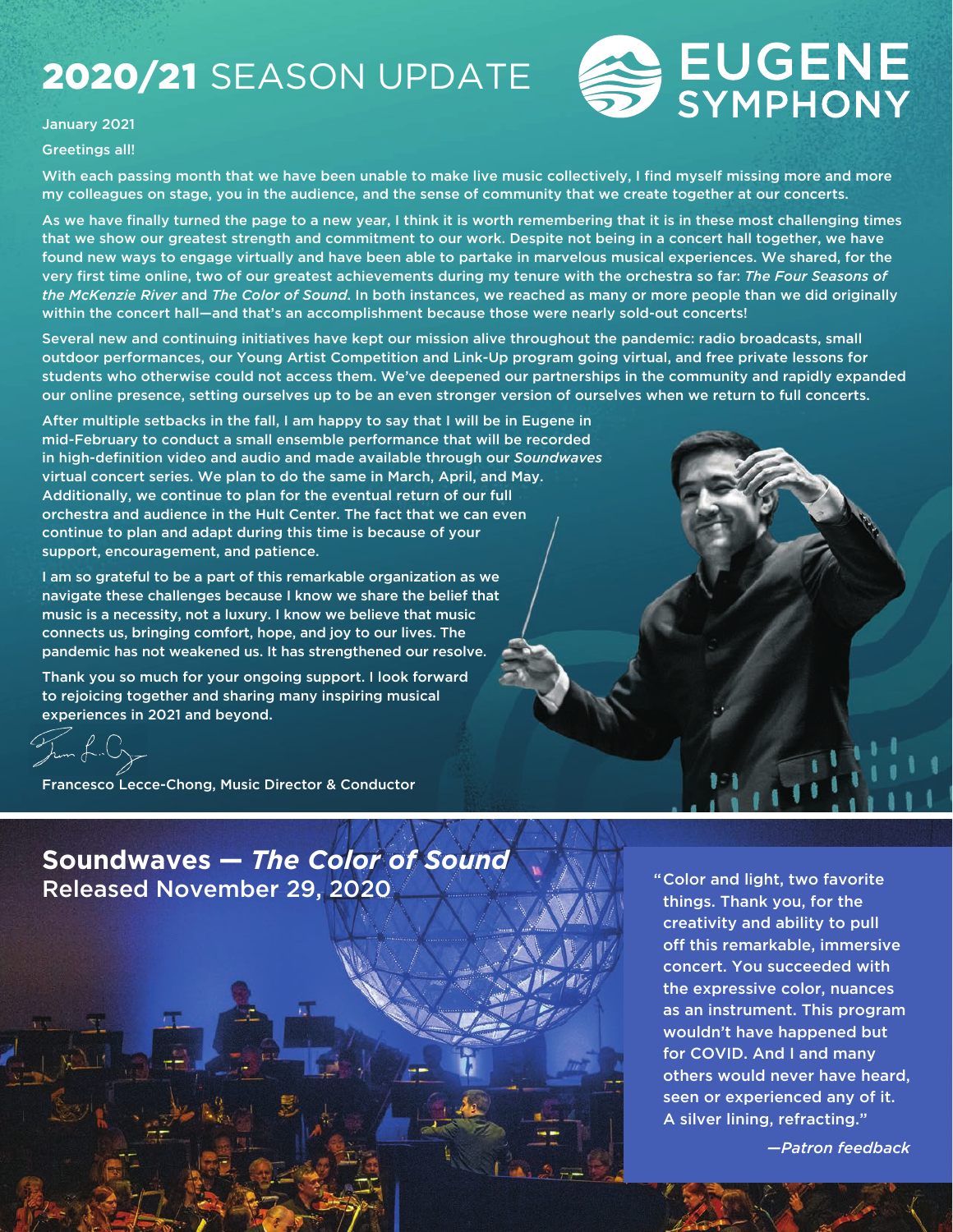# 2020/21 SEASON UPDATE



#### January 2021

#### Greetings all!

With each passing month that we have been unable to make live music collectively, I find myself missing more and more my colleagues on stage, you in the audience, and the sense of community that we create together at our concerts.

As we have finally turned the page to a new year, I think it is worth remembering that it is in these most challenging times that we show our greatest strength and commitment to our work. Despite not being in a concert hall together, we have found new ways to engage virtually and have been able to partake in marvelous musical experiences. We shared, for the very first time online, two of our greatest achievements during my tenure with the orchestra so far: *The Four Seasons of the McKenzie River* and *The Color of Sound*. In both instances, we reached as many or more people than we did originally within the concert hall—and that's an accomplishment because those were nearly sold-out concerts!

Several new and continuing initiatives have kept our mission alive throughout the pandemic: radio broadcasts, small outdoor performances, our Young Artist Competition and Link-Up program going virtual, and free private lessons for students who otherwise could not access them. We've deepened our partnerships in the community and rapidly expanded our online presence, setting ourselves up to be an even stronger version of ourselves when we return to full concerts.

After multiple setbacks in the fall, I am happy to say that I will be in Eugene in mid-February to conduct a small ensemble performance that will be recorded in high-definition video and audio and made available through our *Soundwaves* virtual concert series. We plan to do the same in March, April, and May. Additionally, we continue to plan for the eventual return of our full orchestra and audience in the Hult Center. The fact that we can even continue to plan and adapt during this time is because of your support, encouragement, and patience.

I am so grateful to be a part of this remarkable organization as we navigate these challenges because I know we share the belief that music is a necessity, not a luxury. I know we believe that music connects us, bringing comfort, hope, and joy to our lives. The pandemic has not weakened us. It has strengthened our resolve.

Thank you so much for your ongoing support. I look forward to rejoicing together and sharing many inspiring musical experiences in 2021 and beyond.

Francesco Lecce-Chong, Music Director & Conductor

## **Soundwaves —** *The Color of Sound* Released November 29, 2020

"Color and light, two favorite things. Thank you, for the creativity and ability to pull off this remarkable, immersive concert. You succeeded with the expressive color, nuances as an instrument. This program wouldn't have happened but for COVID. And I and many others would never have heard, seen or experienced any of it. A silver lining, refracting."

*—Patron feedback*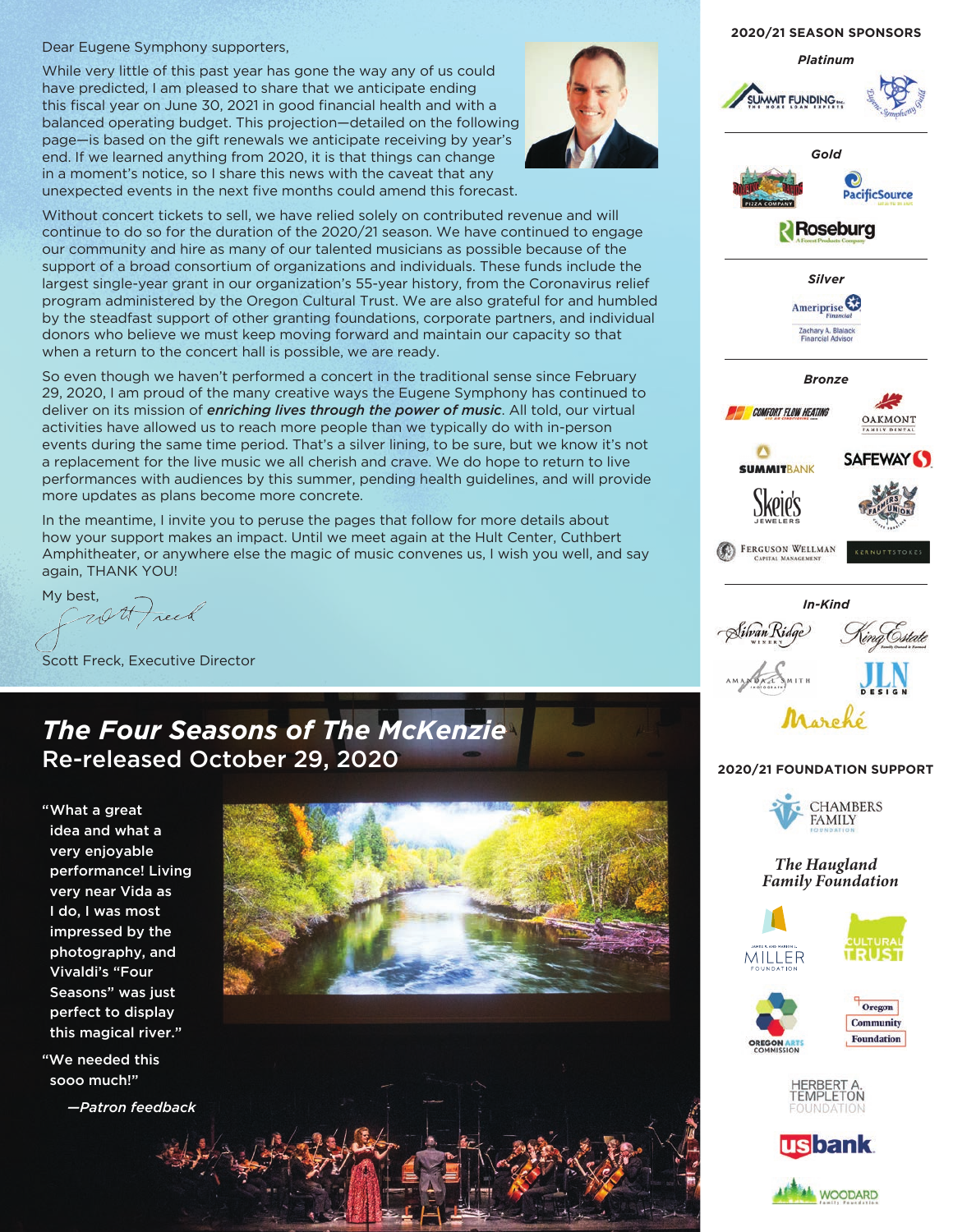### Dear Eugene Symphony supporters,

While very little of this past year has gone the way any of us could have predicted, I am pleased to share that we anticipate ending this fiscal year on June 30, 2021 in good financial health and with a balanced operating budget. This projection—detailed on the following page—is based on the gift renewals we anticipate receiving by year's end. If we learned anything from 2020, it is that things can change in a moment's notice, so I share this news with the caveat that any unexpected events in the next five months could amend this forecast.



Without concert tickets to sell, we have relied solely on contributed revenue and will continue to do so for the duration of the 2020/21 season. We have continued to engage our community and hire as many of our talented musicians as possible because of the support of a broad consortium of organizations and individuals. These funds include the largest single-year grant in our organization's 55-year history, from the Coronavirus relief program administered by the Oregon Cultural Trust. We are also grateful for and humbled by the steadfast support of other granting foundations, corporate partners, and individual donors who believe we must keep moving forward and maintain our capacity so that when a return to the concert hall is possible, we are ready.

So even though we haven't performed a concert in the traditional sense since February 29, 2020, I am proud of the many creative ways the Eugene Symphony has continued to deliver on its mission of *enriching lives through the power of music*. All told, our virtual activities have allowed us to reach more people than we typically do with in-person events during the same time period. That's a silver lining, to be sure, but we know it's not a replacement for the live music we all cherish and crave. We do hope to return to live performances with audiences by this summer, pending health guidelines, and will provide more updates as plans become more concrete.

In the meantime, I invite you to peruse the pages that follow for more details about how your support makes an impact. Until we meet again at the Hult Center, Cuthbert Amphitheater, or anywhere else the magic of music convenes us, I wish you well, and say again, THANK YOU!

My best,<br>Carl Treeb

Scott Freck, Executive Director

## *The Four Seasons of The McKenzie* Re-released October 29, 2020

"What a great idea and what a very enjoyable performance! Living very near Vida as I do, I was most impressed by the photography, and Vivaldi's "Four Seasons" was just perfect to display this magical river."

"We needed this sooo much!"

*—Patron feedback*



#### **2020/21 SEASON SPONSORS**











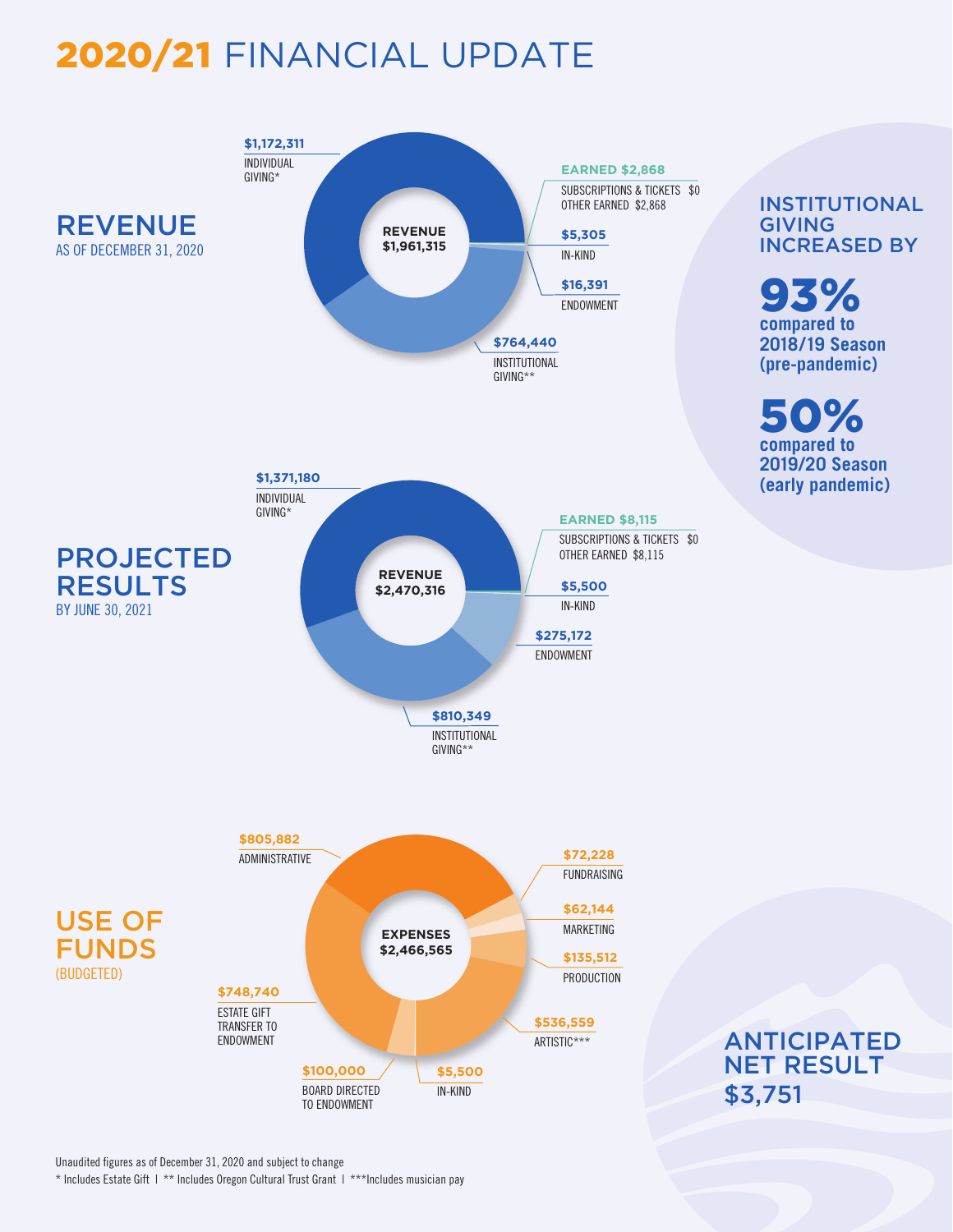# 2020/21 FINANCIAL UPDATE